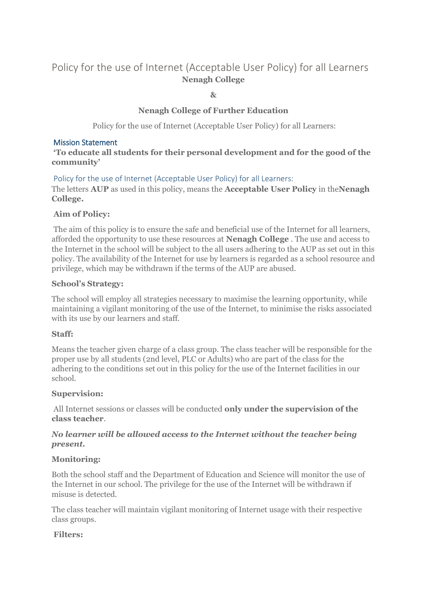# Policy for the use of Internet (Acceptable User Policy) for all Learners **Nenagh College**

**&**

# **Nenagh College of Further Education**

Policy for the use of Internet (Acceptable User Policy) for all Learners:

#### Mission Statement

**'To educate all students for their personal development and for the good of the community'**

Policy for the use of Internet (Acceptable User Policy) for all Learners:

The letters **AUP** as used in this policy, means the **Acceptable User Policy** in the**Nenagh College.**

## **Aim of Policy:**

The aim of this policy is to ensure the safe and beneficial use of the Internet for all learners, afforded the opportunity to use these resources at **Nenagh College** . The use and access to the Internet in the school will be subject to the all users adhering to the AUP as set out in this policy. The availability of the Internet for use by learners is regarded as a school resource and privilege, which may be withdrawn if the terms of the AUP are abused.

### **School's Strategy:**

The school will employ all strategies necessary to maximise the learning opportunity, while maintaining a vigilant monitoring of the use of the Internet, to minimise the risks associated with its use by our learners and staff.

## **Staff:**

Means the teacher given charge of a class group. The class teacher will be responsible for the proper use by all students (2nd level, PLC or Adults) who are part of the class for the adhering to the conditions set out in this policy for the use of the Internet facilities in our school.

## **Supervision:**

All Internet sessions or classes will be conducted **only under the supervision of the class teacher**.

# *No learner will be allowed access to the Internet without the teacher being present.*

## **Monitoring:**

Both the school staff and the Department of Education and Science will monitor the use of the Internet in our school. The privilege for the use of the Internet will be withdrawn if misuse is detected.

The class teacher will maintain vigilant monitoring of Internet usage with their respective class groups.

#### **Filters:**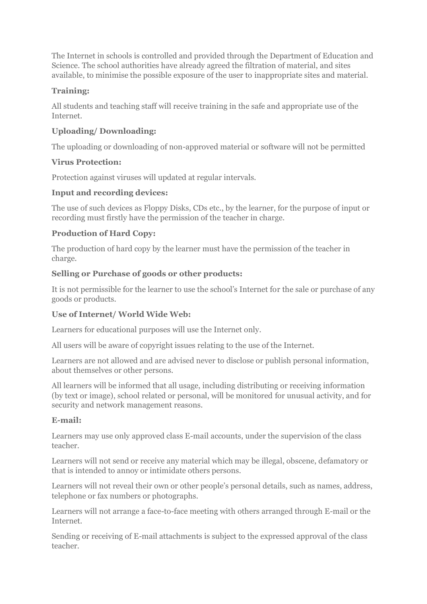The Internet in schools is controlled and provided through the Department of Education and Science. The school authorities have already agreed the filtration of material, and sites available, to minimise the possible exposure of the user to inappropriate sites and material.

# **Training:**

All students and teaching staff will receive training in the safe and appropriate use of the Internet.

# **Uploading/ Downloading:**

The uploading or downloading of non-approved material or software will not be permitted

## **Virus Protection:**

Protection against viruses will updated at regular intervals.

# **Input and recording devices:**

The use of such devices as Floppy Disks, CDs etc., by the learner, for the purpose of input or recording must firstly have the permission of the teacher in charge.

# **Production of Hard Copy:**

The production of hard copy by the learner must have the permission of the teacher in charge.

# **Selling or Purchase of goods or other products:**

It is not permissible for the learner to use the school's Internet for the sale or purchase of any goods or products.

# **Use of Internet/ World Wide Web:**

Learners for educational purposes will use the Internet only.

All users will be aware of copyright issues relating to the use of the Internet.

Learners are not allowed and are advised never to disclose or publish personal information, about themselves or other persons.

All learners will be informed that all usage, including distributing or receiving information (by text or image), school related or personal, will be monitored for unusual activity, and for security and network management reasons.

# **E-mail:**

Learners may use only approved class E-mail accounts, under the supervision of the class teacher.

Learners will not send or receive any material which may be illegal, obscene, defamatory or that is intended to annoy or intimidate others persons.

Learners will not reveal their own or other people's personal details, such as names, address, telephone or fax numbers or photographs.

Learners will not arrange a face-to-face meeting with others arranged through E-mail or the Internet.

Sending or receiving of E-mail attachments is subject to the expressed approval of the class teacher.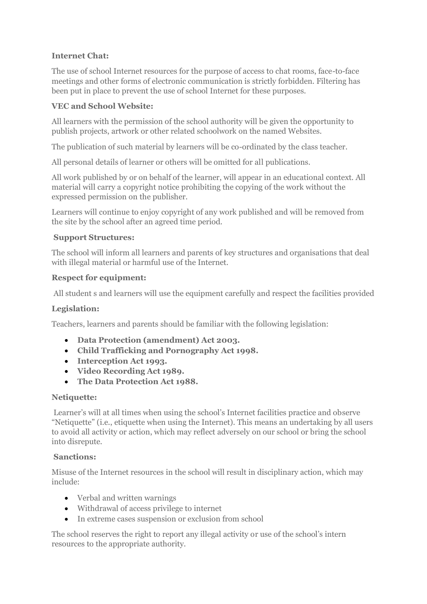# **Internet Chat:**

The use of school Internet resources for the purpose of access to chat rooms, face-to-face meetings and other forms of electronic communication is strictly forbidden. Filtering has been put in place to prevent the use of school Internet for these purposes.

## **VEC and School Website:**

All learners with the permission of the school authority will be given the opportunity to publish projects, artwork or other related schoolwork on the named Websites.

The publication of such material by learners will be co-ordinated by the class teacher.

All personal details of learner or others will be omitted for all publications.

All work published by or on behalf of the learner, will appear in an educational context. All material will carry a copyright notice prohibiting the copying of the work without the expressed permission on the publisher.

Learners will continue to enjoy copyright of any work published and will be removed from the site by the school after an agreed time period.

### **Support Structures:**

The school will inform all learners and parents of key structures and organisations that deal with illegal material or harmful use of the Internet.

### **Respect for equipment:**

All student s and learners will use the equipment carefully and respect the facilities provided

## **Legislation:**

Teachers, learners and parents should be familiar with the following legislation:

- **Data Protection (amendment) Act 2003.**
- **Child Trafficking and Pornography Act 1998.**
- **Interception Act 1993.**
- **Video Recording Act 1989.**
- **The Data Protection Act 1988.**

#### **Netiquette:**

Learner's will at all times when using the school's Internet facilities practice and observe "Netiquette" (i.e., etiquette when using the Internet). This means an undertaking by all users to avoid all activity or action, which may reflect adversely on our school or bring the school into disrepute.

#### **Sanctions:**

Misuse of the Internet resources in the school will result in disciplinary action, which may include:

- Verbal and written warnings
- Withdrawal of access privilege to internet
- In extreme cases suspension or exclusion from school

The school reserves the right to report any illegal activity or use of the school's intern resources to the appropriate authority.